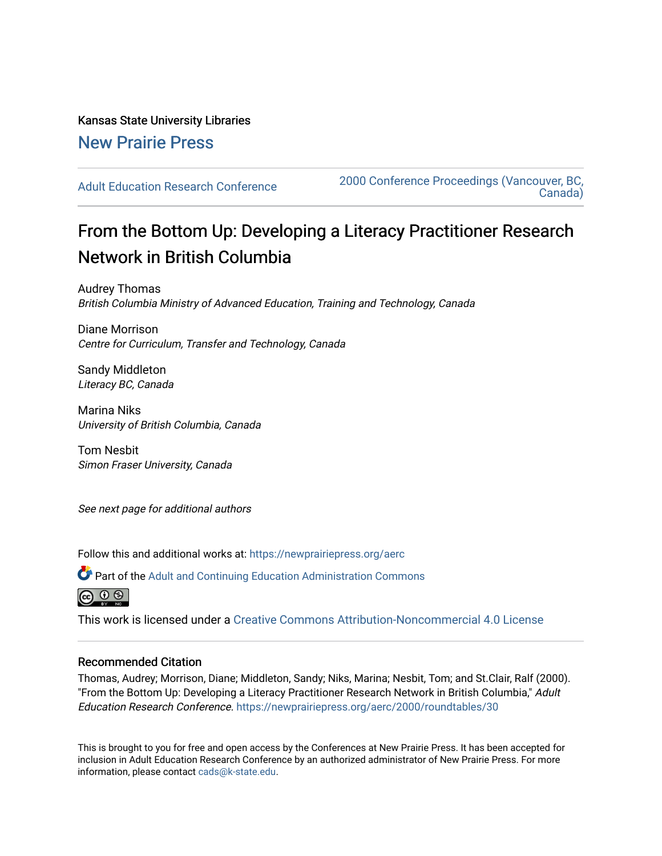## Kansas State University Libraries [New Prairie Press](https://newprairiepress.org/)

[Adult Education Research Conference](https://newprairiepress.org/aerc) [2000 Conference Proceedings \(Vancouver, BC,](https://newprairiepress.org/aerc/2000)  [Canada\)](https://newprairiepress.org/aerc/2000) 

# From the Bottom Up: Developing a Literacy Practitioner Research Network in British Columbia

Audrey Thomas British Columbia Ministry of Advanced Education, Training and Technology, Canada

Diane Morrison Centre for Curriculum, Transfer and Technology, Canada

Sandy Middleton Literacy BC, Canada

Marina Niks University of British Columbia, Canada

Tom Nesbit Simon Fraser University, Canada

See next page for additional authors

Follow this and additional works at: [https://newprairiepress.org/aerc](https://newprairiepress.org/aerc?utm_source=newprairiepress.org%2Faerc%2F2000%2Froundtables%2F30&utm_medium=PDF&utm_campaign=PDFCoverPages)

Part of the [Adult and Continuing Education Administration Commons](http://network.bepress.com/hgg/discipline/789?utm_source=newprairiepress.org%2Faerc%2F2000%2Froundtables%2F30&utm_medium=PDF&utm_campaign=PDFCoverPages)



This work is licensed under a [Creative Commons Attribution-Noncommercial 4.0 License](https://creativecommons.org/licenses/by-nc/4.0/)

#### Recommended Citation

Thomas, Audrey; Morrison, Diane; Middleton, Sandy; Niks, Marina; Nesbit, Tom; and St.Clair, Ralf (2000). "From the Bottom Up: Developing a Literacy Practitioner Research Network in British Columbia," Adult Education Research Conference. <https://newprairiepress.org/aerc/2000/roundtables/30>

This is brought to you for free and open access by the Conferences at New Prairie Press. It has been accepted for inclusion in Adult Education Research Conference by an authorized administrator of New Prairie Press. For more information, please contact [cads@k-state.edu](mailto:cads@k-state.edu).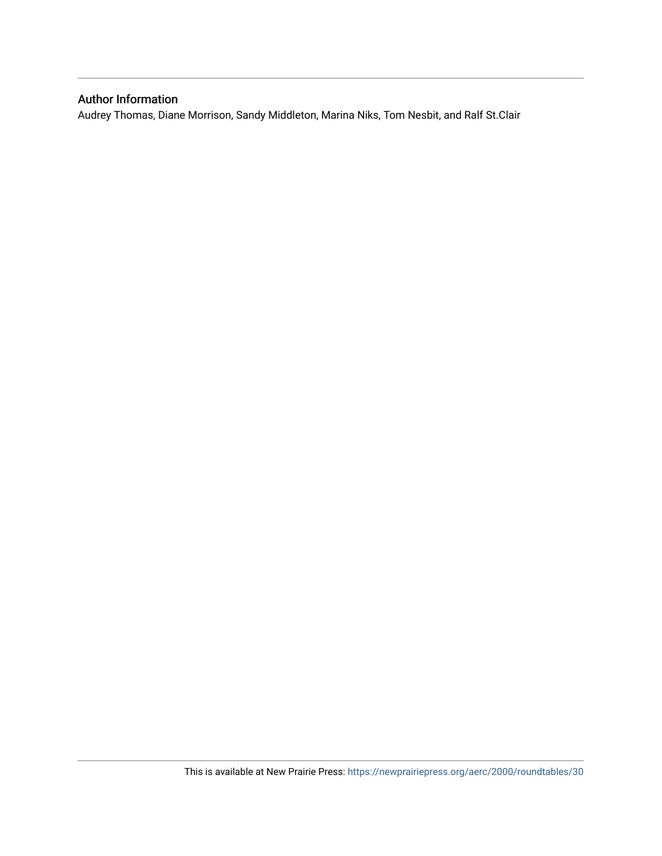### Author Information

Audrey Thomas, Diane Morrison, Sandy Middleton, Marina Niks, Tom Nesbit, and Ralf St.Clair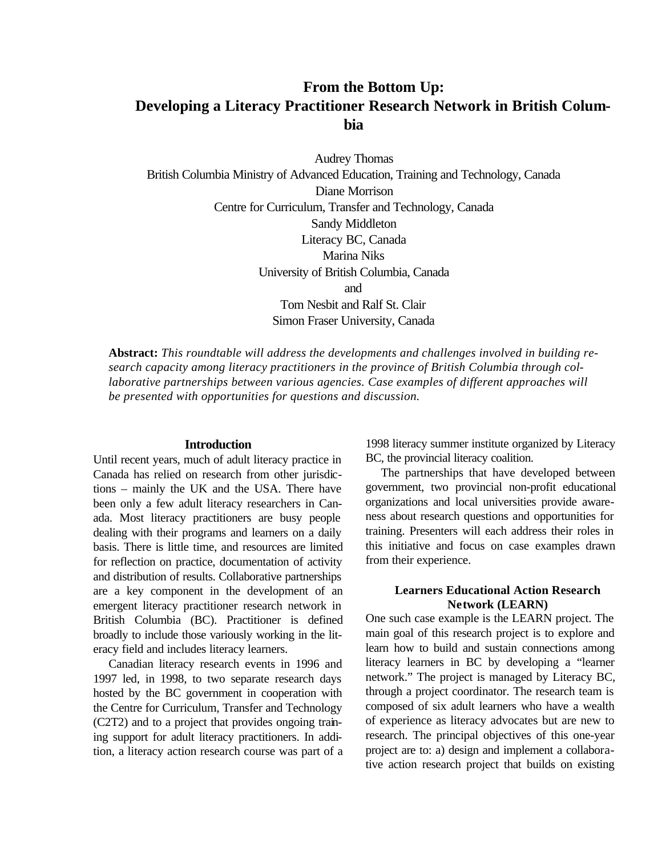## **From the Bottom Up: Developing a Literacy Practitioner Research Network in British Columbia**

Audrey Thomas British Columbia Ministry of Advanced Education, Training and Technology, Canada Diane Morrison Centre for Curriculum, Transfer and Technology, Canada Sandy Middleton Literacy BC, Canada Marina Niks University of British Columbia, Canada and Tom Nesbit and Ralf St. Clair Simon Fraser University, Canada

**Abstract:** *This roundtable will address the developments and challenges involved in building research capacity among literacy practitioners in the province of British Columbia through collaborative partnerships between various agencies. Case examples of different approaches will be presented with opportunities for questions and discussion.*

#### **Introduction**

Until recent years, much of adult literacy practice in Canada has relied on research from other jurisdictions – mainly the UK and the USA. There have been only a few adult literacy researchers in Canada. Most literacy practitioners are busy people dealing with their programs and learners on a daily basis. There is little time, and resources are limited for reflection on practice, documentation of activity and distribution of results. Collaborative partnerships are a key component in the development of an emergent literacy practitioner research network in British Columbia (BC). Practitioner is defined broadly to include those variously working in the literacy field and includes literacy learners.

Canadian literacy research events in 1996 and 1997 led, in 1998, to two separate research days hosted by the BC government in cooperation with the Centre for Curriculum, Transfer and Technology (C2T2) and to a project that provides ongoing training support for adult literacy practitioners. In addition, a literacy action research course was part of a 1998 literacy summer institute organized by Literacy BC, the provincial literacy coalition.

The partnerships that have developed between government, two provincial non-profit educational organizations and local universities provide awareness about research questions and opportunities for training. Presenters will each address their roles in this initiative and focus on case examples drawn from their experience.

#### **Learners Educational Action Research Network (LEARN)**

One such case example is the LEARN project. The main goal of this research project is to explore and learn how to build and sustain connections among literacy learners in BC by developing a "learner network." The project is managed by Literacy BC, through a project coordinator. The research team is composed of six adult learners who have a wealth of experience as literacy advocates but are new to research. The principal objectives of this one-year project are to: a) design and implement a collaborative action research project that builds on existing